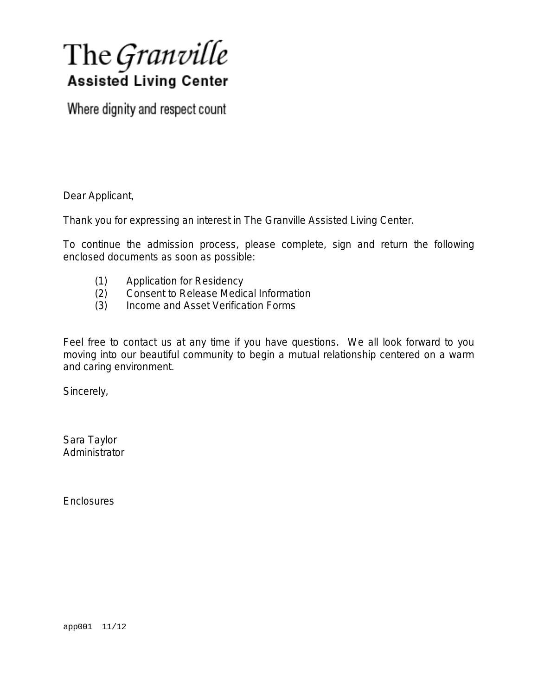# The Granville **Assisted Living Center**

Where dignity and respect count

Dear Applicant,

Thank you for expressing an interest in The Granville Assisted Living Center.

To continue the admission process, please complete, sign and return the following enclosed documents as soon as possible:

- (1) Application for Residency
- (2) Consent to Release Medical Information
- (3) Income and Asset Verification Forms

Feel free to contact us at any time if you have questions. We all look forward to you moving into our beautiful community to begin a mutual relationship centered on a warm and caring environment.

Sincerely,

Sara Taylor **Administrator** 

**Enclosures**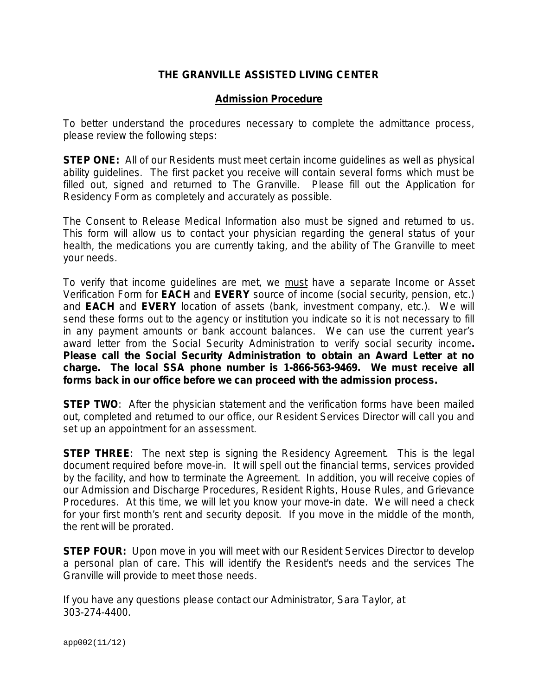## **THE GRANVILLE ASSISTED LIVING CENTER**

## **Admission Procedure**

To better understand the procedures necessary to complete the admittance process, please review the following steps:

*STEP ONE:* All of our Residents must meet certain income quidelines as well as physical ability guidelines. The first packet you receive will contain several forms which must be filled out, signed and returned to The Granville. Please fill out the Application for Residency Form as completely and accurately as possible.

The Consent to Release Medical Information also must be signed and returned to us. This form will allow us to contact your physician regarding the general status of your health, the medications you are currently taking, and the ability of The Granville to meet your needs.

To verify that income guidelines are met, we must have a separate Income or Asset Verification Form for **EACH** and **EVERY** source of income (social security, pension, etc.) and **EACH** and **EVERY** location of assets (bank, investment company, etc.). We will send these forms out to the agency or institution you indicate so it is not necessary to fill in any payment amounts or bank account balances. We can use the current year's award letter from the Social Security Administration to verify social security income*. Please call the Social Security Administration to obtain an Award Letter at no charge. The local SSA phone number is 1-866-563-9469. We must receive all forms back in our office before we can proceed with the admission process.* 

**STEP TWO:** After the physician statement and the verification forms have been mailed out, completed and returned to our office, our Resident Services Director will call you and set up an appointment for an assessment.

**STEP THREE:** The next step is signing the Residency Agreement. This is the legal document required before move-in. It will spell out the financial terms, services provided by the facility, and how to terminate the Agreement. In addition, you will receive copies of our Admission and Discharge Procedures, Resident Rights, House Rules, and Grievance Procedures. At this time, we will let you know your move-in date. We will need a check for your first month's rent and security deposit. If you move in the middle of the month, the rent will be prorated.

*STEP FOUR:* Upon move in you will meet with our Resident Services Director to develop a personal plan of care. This will identify the Resident's needs and the services The Granville will provide to meet those needs.

If you have any questions please contact our Administrator, Sara Taylor, at 303-274-4400.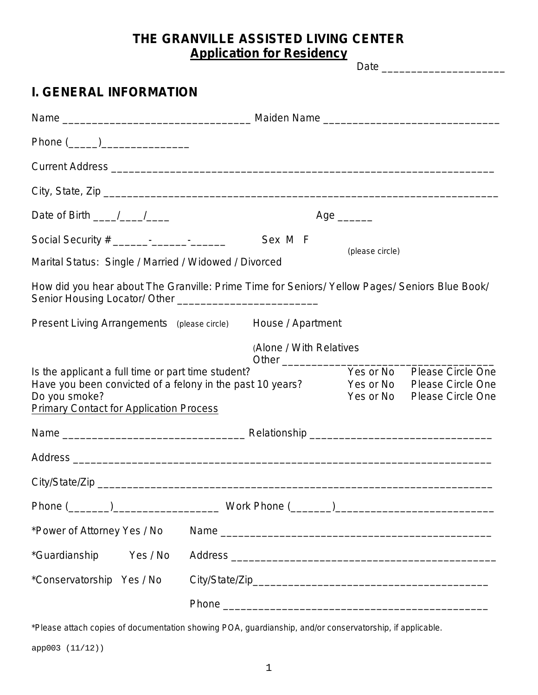## **THE GRANVILLE ASSISTED LIVING CENTER Application for Residency**

|                                                                                                                                                                                    | 10011011101100100110                                                                                                    |
|------------------------------------------------------------------------------------------------------------------------------------------------------------------------------------|-------------------------------------------------------------------------------------------------------------------------|
|                                                                                                                                                                                    |                                                                                                                         |
| <b>I. GENERAL INFORMATION</b>                                                                                                                                                      |                                                                                                                         |
|                                                                                                                                                                                    |                                                                                                                         |
|                                                                                                                                                                                    |                                                                                                                         |
|                                                                                                                                                                                    |                                                                                                                         |
|                                                                                                                                                                                    |                                                                                                                         |
| Date of Birth $\frac{1}{\sqrt{1-\frac{1}{2}}}$                                                                                                                                     | Age ______                                                                                                              |
|                                                                                                                                                                                    | Sex M F                                                                                                                 |
| Marital Status: Single / Married / Widowed / Divorced                                                                                                                              | (please circle)                                                                                                         |
|                                                                                                                                                                                    | How did you hear about The Granville: Prime Time for Seniors/ Yellow Pages/ Seniors Blue Book/                          |
|                                                                                                                                                                                    | Present Living Arrangements (please circle) House / Apartment                                                           |
|                                                                                                                                                                                    | (Alone / With Relatives                                                                                                 |
| Is the applicant a full time or part time student?<br>Have you been convicted of a felony in the past 10 years?<br>Do you smoke?<br><b>Primary Contact for Application Process</b> | Yes or No<br><b>Please Circle One</b><br><b>Please Circle One</b><br>Yes or No<br>Yes or No<br><b>Please Circle One</b> |
|                                                                                                                                                                                    |                                                                                                                         |
|                                                                                                                                                                                    |                                                                                                                         |
|                                                                                                                                                                                    |                                                                                                                         |
|                                                                                                                                                                                    |                                                                                                                         |
| *Power of Attorney Yes / No                                                                                                                                                        |                                                                                                                         |
| *Guardianship<br>Yes / No                                                                                                                                                          |                                                                                                                         |
| *Conservatorship Yes / No                                                                                                                                                          |                                                                                                                         |
|                                                                                                                                                                                    |                                                                                                                         |

\*Please attach copies of documentation showing POA, guardianship, and/or conservatorship, if applicable.

app003 (11/12))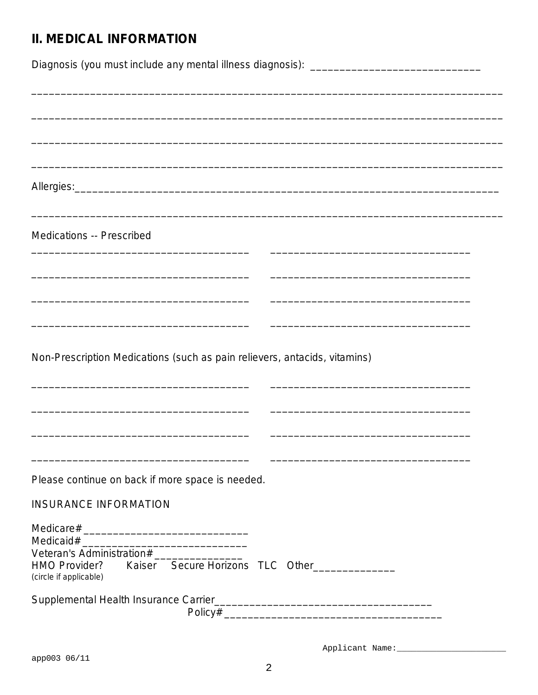# **II. MEDICAL INFORMATION**

| Diagnosis (you must include any mental illness diagnosis): ______________________ |
|-----------------------------------------------------------------------------------|
|                                                                                   |
|                                                                                   |
|                                                                                   |
|                                                                                   |
| <b>Medications -- Prescribed</b>                                                  |
|                                                                                   |
|                                                                                   |
| <u> 1989 - Andrea Stadt Britain, amerikansk politik (* 1958)</u>                  |
| Non-Prescription Medications (such as pain relievers, antacids, vitamins)         |
|                                                                                   |
| Please continue on back if more space is needed.                                  |
| <b>INSURANCE INFORMATION</b>                                                      |
| HMO Provider? Kaiser Secure Horizons TLC Other<br>(circle if applicable)          |
|                                                                                   |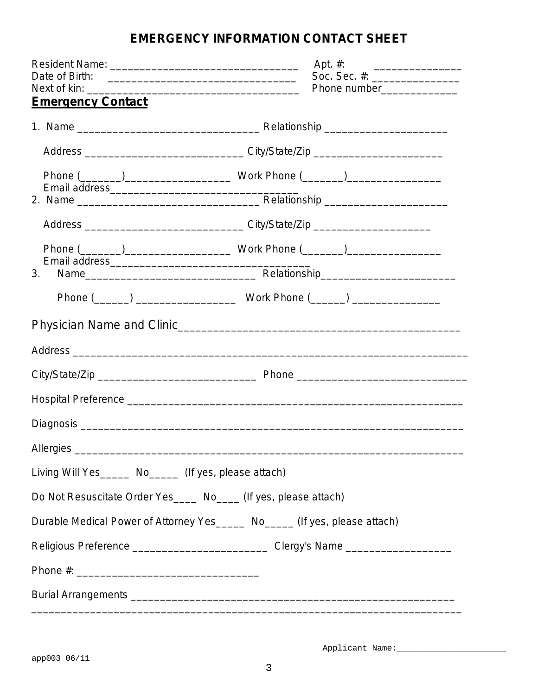# **EMERGENCY INFORMATION CONTACT SHEET**

|                                                                                   | Apt. #:                                                         |
|-----------------------------------------------------------------------------------|-----------------------------------------------------------------|
|                                                                                   | Soc. Sec. #: ____________________<br>Phone number______________ |
| <b>Emergency Contact</b>                                                          |                                                                 |
|                                                                                   |                                                                 |
| Address __________________________________City/State/Zip _______________________  |                                                                 |
|                                                                                   |                                                                 |
|                                                                                   |                                                                 |
|                                                                                   |                                                                 |
|                                                                                   |                                                                 |
|                                                                                   |                                                                 |
|                                                                                   |                                                                 |
| Physician Name and Clinic                                                         |                                                                 |
|                                                                                   |                                                                 |
|                                                                                   |                                                                 |
|                                                                                   |                                                                 |
|                                                                                   |                                                                 |
|                                                                                   |                                                                 |
| Living Will Yes______ No______ (If yes, please attach)                            |                                                                 |
| Do Not Resuscitate Order Yes _____ No____ (If yes, please attach)                 |                                                                 |
| Durable Medical Power of Attorney Yes ______ No______ (If yes, please attach)     |                                                                 |
| Religious Preference ________________________________Clergy's Name ______________ |                                                                 |
|                                                                                   |                                                                 |
|                                                                                   |                                                                 |
|                                                                                   |                                                                 |

Applicant Name: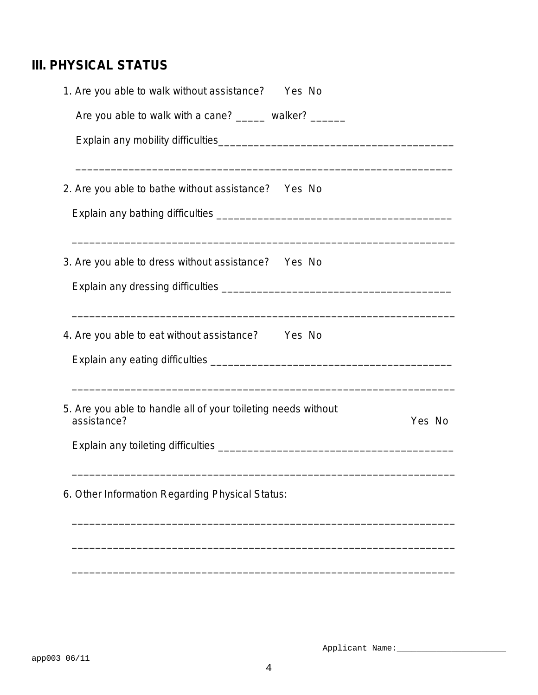# **III. PHYSICAL STATUS**

| 1. Are you able to walk without assistance? Yes No                                                                                     |        |
|----------------------------------------------------------------------------------------------------------------------------------------|--------|
| Are you able to walk with a cane? ______ walker? ______                                                                                |        |
|                                                                                                                                        |        |
| 2. Are you able to bathe without assistance? Yes No                                                                                    |        |
|                                                                                                                                        |        |
| 3. Are you able to dress without assistance? Yes No                                                                                    |        |
|                                                                                                                                        |        |
| ,我们也不能会在这里的人,我们也不能会在这里,我们也不能会在这里,我们也不能会在这里,我们也不能会在这里,我们也不能会在这里,我们也不能会在这里,我们也不能会在这<br>4. Are you able to eat without assistance? Yes No |        |
|                                                                                                                                        |        |
| 5. Are you able to handle all of your toileting needs without<br>assistance?                                                           | Yes No |
| Explain any toileting difficulties <b>Explain Acceptance of the Contract Contract Contract Contract Contract Control</b>               |        |
| 6. Other Information Regarding Physical Status:                                                                                        |        |
|                                                                                                                                        |        |
|                                                                                                                                        |        |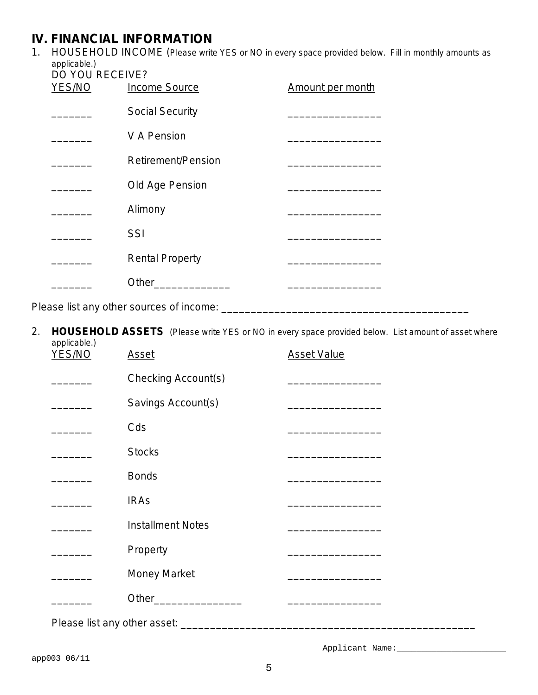## **IV. FINANCIAL INFORMATION**

1. HOUSEHOLD INCOME *(Please write YES or NO in every space provided below. Fill in monthly amounts as applicable.)*

| <b>DO YOU RECEIVE?</b> | YES/NO Income Source   | Amount per month |
|------------------------|------------------------|------------------|
|                        | <b>Social Security</b> |                  |
|                        | V A Pension            |                  |
|                        | Retirement/Pension     |                  |
|                        | Old Age Pension        |                  |
|                        | Alimony                |                  |
|                        | SSI                    |                  |
|                        | <b>Rental Property</b> |                  |
|                        | Other                  |                  |
|                        |                        |                  |

Please list any other sources of income: \_\_\_\_\_\_\_\_\_\_\_\_\_\_\_\_\_\_\_\_\_\_\_\_\_\_\_\_\_\_\_\_\_\_\_\_\_\_\_\_\_\_

2. **HOUSEHOLD ASSETS** *(Please write YES or NO in every space provided below. List amount of asset where applicable.)*

| YES/NO | <b>Asset</b>             | <b>Asset Value</b>                                                                                                   |
|--------|--------------------------|----------------------------------------------------------------------------------------------------------------------|
|        | Checking Account(s)      |                                                                                                                      |
|        | Savings Account(s)       |                                                                                                                      |
|        | Cds                      | the control of the control of the control of the                                                                     |
|        | <b>Stocks</b>            |                                                                                                                      |
|        | <b>Bonds</b>             |                                                                                                                      |
|        | <b>IRAs</b>              | <u> 1989 - Johann Stein, mars an deutscher Stein und der Stein und der Stein und der Stein und der Stein und der</u> |
|        | <b>Installment Notes</b> | <u> 1989 - Johann John Stone, market francuski filozof (</u>                                                         |
|        | Property                 | <u> 1989 - Johann John Stone, market francuski filozof (</u>                                                         |
|        | <b>Money Market</b>      | <u> 1980 - Jan Barbara, manazarta bashkar a shekara tsh</u>                                                          |
|        | Other_________________   |                                                                                                                      |
|        |                          |                                                                                                                      |

Applicant Name: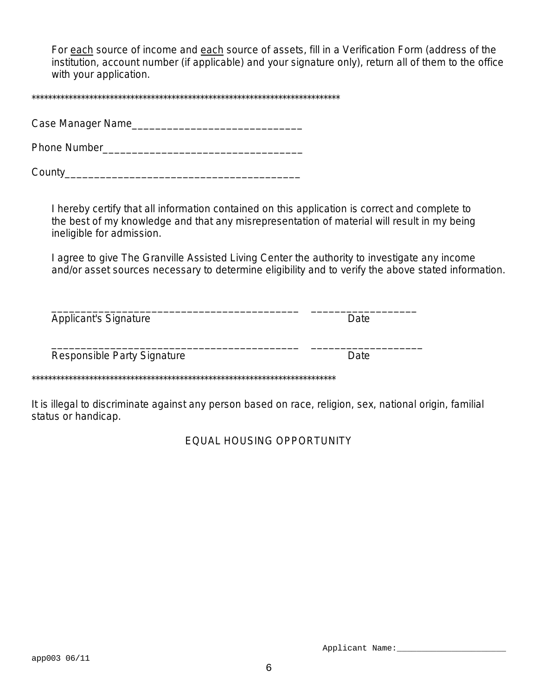For each source of income and each source of assets, fill in a Verification Form (address of the institution, account number (if applicable) and your signature only), return all of them to the office with your application.

\*\*\*\*\*\*\*\*\*\*\*\*\*\*\*\*\*\*\*\*\*\*\*\*\*\*\*\*\*\*\*\*\*\*\*\*\*\*\*\*\*\*\*\*\*\*\*\*\*\*\*\*\*\*\*\*\*\*\*\*\*\*\*\*\*\*\*\*\*\*\*\*\*\*\*

Case Manager Name\_\_\_\_\_\_\_\_\_\_\_\_\_\_\_\_\_\_\_\_\_\_\_\_\_\_\_\_\_

Phone Number\_\_\_\_\_\_\_\_\_\_\_\_\_\_\_\_\_\_\_\_\_\_\_\_\_\_\_\_\_\_\_\_\_\_

County\_\_\_\_\_\_\_\_\_\_\_\_\_\_\_\_\_\_\_\_\_\_\_\_\_\_\_\_\_\_\_\_\_\_\_\_\_\_\_\_

I hereby certify that all information contained on this application is correct and complete to the best of my knowledge and that any misrepresentation of material will result in my being ineligible for admission.

I agree to give The Granville Assisted Living Center the authority to investigate any income and/or asset sources necessary to determine eligibility and to verify the above stated information.

| <b>Applicant's Signature</b>       | Date        |
|------------------------------------|-------------|
| <b>Responsible Party Signature</b> | <b>Date</b> |

It is illegal to discriminate against any person based on race, religion, sex, national origin, familial status or handicap.

EQUAL HOUSING OPPORTUNITY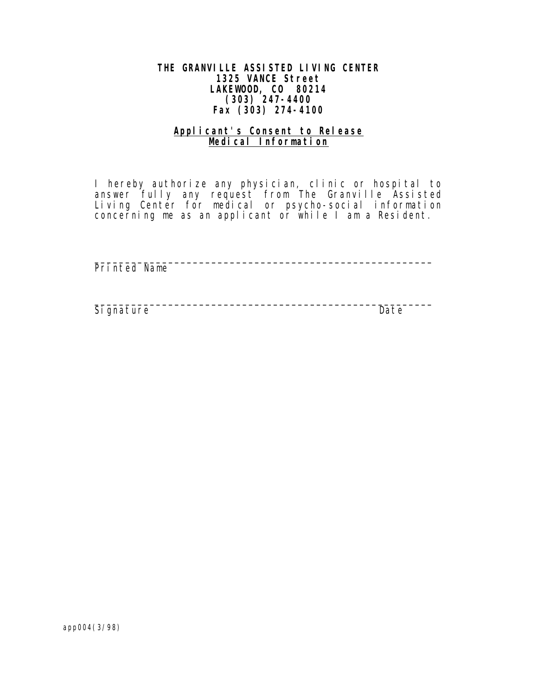## **THE GRANVILLE ASSISTED LIVING CENTER 1325 VANCE Street LAKEWOOD, CO 80214 (303) 247-4400 Fax (303) 274-4100**

## **Applicant's Consent to Release Medical Information**

 I hereby authorize any physician, clinic or hospital to answer fully any request from The Granville Assisted Living Center for medical or psycho-social information concerning me as an applicant or while I am a Resident.

 $\mathcal{L}_\text{max}$  , and the contract of the contract of the contract of the contract of the contract of the contract of the contract of the contract of the contract of the contract of the contract of the contract of the contr

Printed Name

 $\mathcal{L}_\text{max}$  , and the contract of the contract of the contract of the contract of the contract of the contract of the contract of the contract of the contract of the contract of the contract of the contract of the contr Signature Date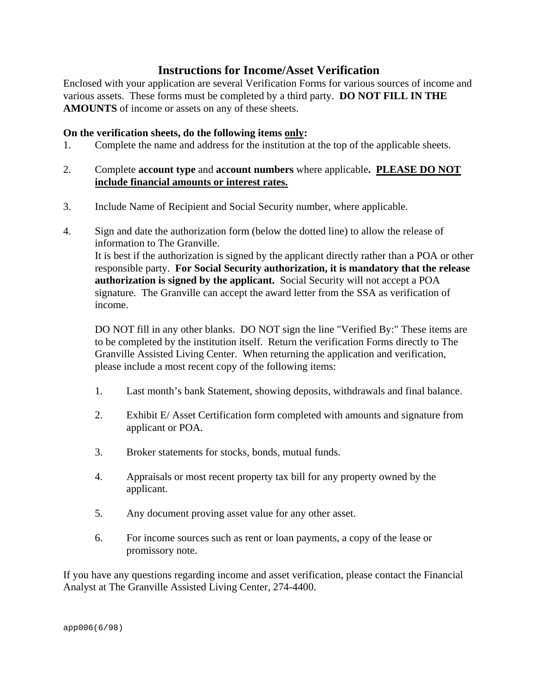## **Instructions for Income/Asset Verification**

Enclosed with your application are several Verification Forms for various sources of income and various assets. These forms must be completed by a third party. **DO NOT FILL IN THE AMOUNTS** of income or assets on any of these sheets.

## **On the verification sheets, do the following items only:**

1. Complete the name and address for the institution at the top of the applicable sheets.

## 2. Complete **account type** and **account numbers** where applicable**. PLEASE DO NOT include financial amounts or interest rates.**

- 3. Include Name of Recipient and Social Security number, where applicable.
- 4. Sign and date the authorization form (below the dotted line) to allow the release of information to The Granville. It is best if the authorization is signed by the applicant directly rather than a POA or other responsible party. **For Social Security authorization, it is mandatory that the release authorization is signed by the applicant.** Social Security will not accept a POA signature. The Granville can accept the award letter from the SSA as verification of income.

DO NOT fill in any other blanks. DO NOT sign the line "Verified By:" These items are to be completed by the institution itself. Return the verification Forms directly to The Granville Assisted Living Center. When returning the application and verification, please include a most recent copy of the following items:

- 1. Last month's bank Statement, showing deposits, withdrawals and final balance.
- 2. Exhibit E/ Asset Certification form completed with amounts and signature from applicant or POA.
- 3. Broker statements for stocks, bonds, mutual funds.
- 4. Appraisals or most recent property tax bill for any property owned by the applicant.
- 5. Any document proving asset value for any other asset.
- 6. For income sources such as rent or loan payments, a copy of the lease or promissory note.

If you have any questions regarding income and asset verification, please contact the Financial Analyst at The Granville Assisted Living Center, 274-4400.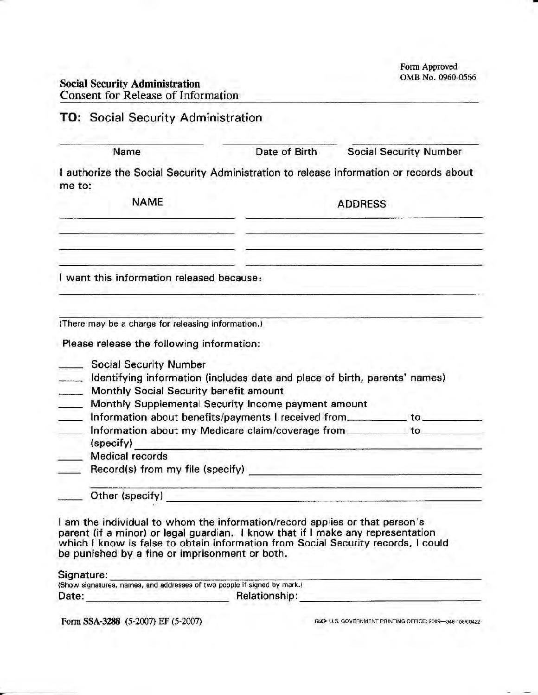Form Approved OMB No. 0960-0566

## Social Security Administration Consent for Release of Information

## TO: Social Security Administration

Name Date of Birth Social Security Number

I authorize the Social Security Administration to release information or records about me to:

NAME ADDRESS

I want this information released because,

(There may be a charge for releasing information.)

Please release the following information:

Social Security Number

- ldentifying information (includes date and place of birth, parents' names)
- Monthly Social Security benefit amount
- **Monthly Supplemental Security Income payment amount**
- Later information about benefits/payments I received from to to the to the state of the state of the state of the state of the state of the state of the state of the state of the state of the state of the state of the stat
- Later information about my Medicare claim/coverage from to to (specify)

- Medical records
- Record(s) from my file (specify)
	- Other (specity)

I am the individual to whom the information/record applies or that person's parent (if a minor) or legal guardian. I know that if I make any representation which I know is false to obtain information from Social Security records, I could be punished by a fine or imprisonment or both,

**ANGEL ANGELES COMPANY** 

Signature:

| (Show signatures, names, and addresses of two people if signed by mark.) |               |  |
|--------------------------------------------------------------------------|---------------|--|
| Date:                                                                    | Relationship: |  |

Form SSA-3288 (5-2007) EF (5-2007)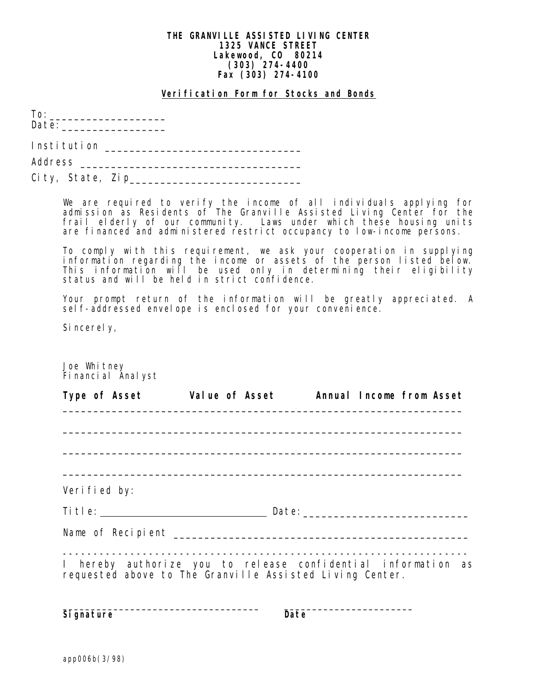#### **THE GRANVILLE ASSISTED LIVING CENTER 1325 VANCE STREET Lakewood, CO 80214 (303) 274-4400 Fax (303) 274-4100**

**Verification Form for Stocks and Bonds**

|                                  | $\text{Date:}\underbrace{\hspace{2.5cm}}$                                                                                                                                                                                                                                                         |
|----------------------------------|---------------------------------------------------------------------------------------------------------------------------------------------------------------------------------------------------------------------------------------------------------------------------------------------------|
|                                  |                                                                                                                                                                                                                                                                                                   |
|                                  |                                                                                                                                                                                                                                                                                                   |
|                                  |                                                                                                                                                                                                                                                                                                   |
|                                  | We are required to verify the income of all individuals applying for<br>admission as Residents of The Granville Assisted Living Center for the<br>frail elderly of our community. Laws under which these housing units<br>are financed and administered restrict occupancy to low-income persons. |
|                                  | To comply with this requirement, we ask your cooperation in supplying<br>information regarding the income or assets of the person listed below.<br>This information will be used only in determining their eligibility<br>status and will be held in strict confidence.                           |
|                                  | Your prompt return of the information will be greatly appreciated. A<br>self-addressed envelope is enclosed for your convenience.                                                                                                                                                                 |
| Sincerely,                       |                                                                                                                                                                                                                                                                                                   |
|                                  |                                                                                                                                                                                                                                                                                                   |
| Joe Whitney<br>Financial Analyst |                                                                                                                                                                                                                                                                                                   |
|                                  |                                                                                                                                                                                                                                                                                                   |
|                                  | Type of Asset Walue of Asset                                                                                                                                                                                                                                                                      |
|                                  |                                                                                                                                                                                                                                                                                                   |
|                                  |                                                                                                                                                                                                                                                                                                   |
|                                  |                                                                                                                                                                                                                                                                                                   |
|                                  |                                                                                                                                                                                                                                                                                                   |
| Verified by:                     |                                                                                                                                                                                                                                                                                                   |
|                                  |                                                                                                                                                                                                                                                                                                   |
|                                  |                                                                                                                                                                                                                                                                                                   |
|                                  |                                                                                                                                                                                                                                                                                                   |
|                                  | Annual Income from Asset<br>I hereby authorize you to release confidential information as                                                                                                                                                                                                         |

Signature Date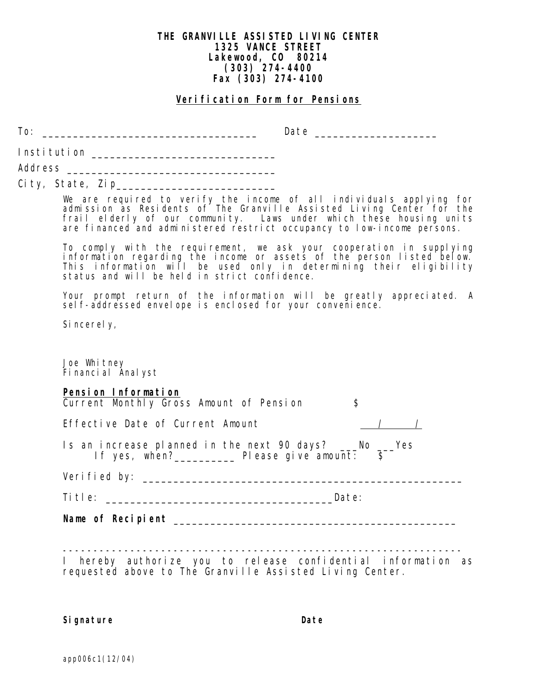## **THE GRANVILLE ASSISTED LIVING CENTER 1325 VANCE STREET Lakewood, CO 80214 (303) 274-4400 Fax (303) 274-4100**

#### **Verification Form for Pensions**

To: \_\_\_\_\_\_\_\_\_\_\_\_\_\_\_\_\_\_\_\_\_\_\_\_\_\_\_\_\_\_\_\_\_\_\_ Date \_\_\_\_\_\_\_\_\_\_\_\_\_\_\_\_\_\_\_\_

Institution \_\_\_\_\_\_\_\_\_\_\_\_\_\_\_\_\_\_\_\_\_\_\_\_\_\_\_\_\_\_

Address \_\_\_\_\_\_\_\_\_\_\_\_\_\_\_\_\_\_\_\_\_\_\_\_\_\_\_\_\_\_\_\_\_\_

City, State, Zip\_\_\_\_\_\_\_\_\_\_\_\_\_\_\_\_\_\_\_\_\_\_\_\_\_\_

We are required to verify the income of all individuals applying for admission as Residents of The Granville Assisted Living Center for the frail elderly of our community. Laws under which these housing units are financed and administered restrict occupancy to low-income persons.

To comply with the requirement, we ask your cooperation in supplying information regarding the income or assets of the person listed below. This information will be used only in determining their eligibility status and will be held in strict confidence.

Your prompt return of the information will be greatly appreciated. A self-addressed envelope is enclosed for your convenience.

Sincerely,

Joe Whitney Financial Analyst

## **Pension Information**

| Name of Recipient                                                                                                                                                                                                              |                      |
|--------------------------------------------------------------------------------------------------------------------------------------------------------------------------------------------------------------------------------|----------------------|
| Title: The contract of the contract of the contract of the contract of the contract of the contract of the contract of the contract of the contract of the contract of the contract of the contract of the contract of the con | Date:                |
|                                                                                                                                                                                                                                |                      |
| Is an increase planned in the next 90 days? ___No ___Yes<br>If yes, when?______________ Please give amount: \$                                                                                                                 |                      |
| Effective Date of Current Amount                                                                                                                                                                                               | $\frac{1}{\sqrt{2}}$ |
| Current Monthly Gross Amount of Pension                                                                                                                                                                                        | \$                   |

----------------------------------------------------------------- I hereby authorize you to release confidential information as requested above to The Granville Assisted Living Center.

#### **Signature Date**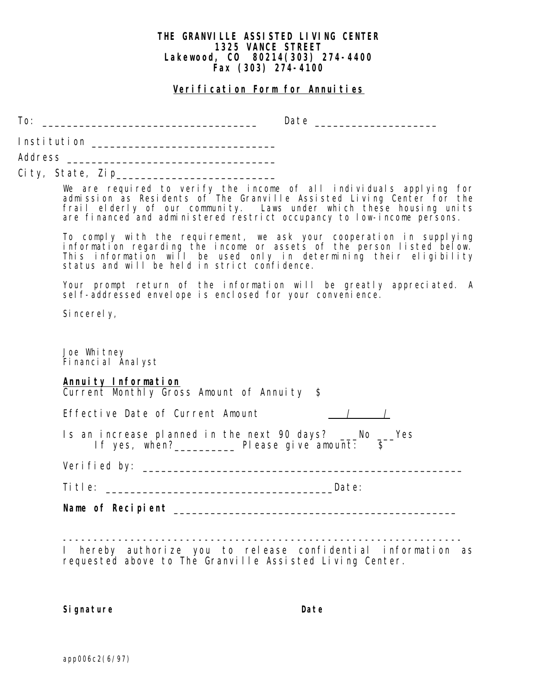#### **THE GRANVILLE ASSISTED LIVING CENTER 1325 VANCE STREET Lakewood, CO 80214(303) 274-4400 Fax (303) 274-4100**

## **Verification Form for Annuities**

 $To: \begin{tabular}{c} \hline \end{tabular}$ 

| City, State, Zip Particular City, State, 2014<br>We are required to verify the income of all individuals applying for<br>admission as Residents of The Granville Assisted Living Center for the<br>frail elderly of our community. Laws under which these housing units<br>are financed and administered restrict occupancy to low-income persons.<br>To comply with the requirement, we ask your cooperation in supplying<br>information regarding the income or assets of the person listed below.<br>This information will be used only in determining their eligibility<br>status and will be held in strict confidence.<br>Your prompt return of the information will be greatly appreciated. A<br>self-addressed envelope is enclosed for your convenience.<br>Sincerely,<br>Joe Whitney |
|------------------------------------------------------------------------------------------------------------------------------------------------------------------------------------------------------------------------------------------------------------------------------------------------------------------------------------------------------------------------------------------------------------------------------------------------------------------------------------------------------------------------------------------------------------------------------------------------------------------------------------------------------------------------------------------------------------------------------------------------------------------------------------------------|
|                                                                                                                                                                                                                                                                                                                                                                                                                                                                                                                                                                                                                                                                                                                                                                                                |
|                                                                                                                                                                                                                                                                                                                                                                                                                                                                                                                                                                                                                                                                                                                                                                                                |
|                                                                                                                                                                                                                                                                                                                                                                                                                                                                                                                                                                                                                                                                                                                                                                                                |
|                                                                                                                                                                                                                                                                                                                                                                                                                                                                                                                                                                                                                                                                                                                                                                                                |
|                                                                                                                                                                                                                                                                                                                                                                                                                                                                                                                                                                                                                                                                                                                                                                                                |
| Financial Analyst                                                                                                                                                                                                                                                                                                                                                                                                                                                                                                                                                                                                                                                                                                                                                                              |
| Annuity Information<br>Current Monthly Gross Amount of Annuity \$                                                                                                                                                                                                                                                                                                                                                                                                                                                                                                                                                                                                                                                                                                                              |
| Effective Date of Current Amount<br>$\frac{1}{\sqrt{2}}$                                                                                                                                                                                                                                                                                                                                                                                                                                                                                                                                                                                                                                                                                                                                       |
| Is an increase planned in the next 90 days? ___No ___Yes<br>If yes, when? Please give amount: $\frac{1}{5}$                                                                                                                                                                                                                                                                                                                                                                                                                                                                                                                                                                                                                                                                                    |
|                                                                                                                                                                                                                                                                                                                                                                                                                                                                                                                                                                                                                                                                                                                                                                                                |
| Title:                       Date:                                                                                                                                                                                                                                                                                                                                                                                                                                                                                                                                                                                                                                                                                                                                                             |
| Name of Recipient that the contract of the contract of the contract of the contract of the contract of the contract of the contract of the contract of the contract of the contract of the contract of the contract of the con                                                                                                                                                                                                                                                                                                                                                                                                                                                                                                                                                                 |
|                                                                                                                                                                                                                                                                                                                                                                                                                                                                                                                                                                                                                                                                                                                                                                                                |
| <u>. 2002 – 2002 – 2002 – 2002 – 2002 – 2002 – 2002 – 200</u><br>I hereby authorize you to release confidential information as                                                                                                                                                                                                                                                                                                                                                                                                                                                                                                                                                                                                                                                                 |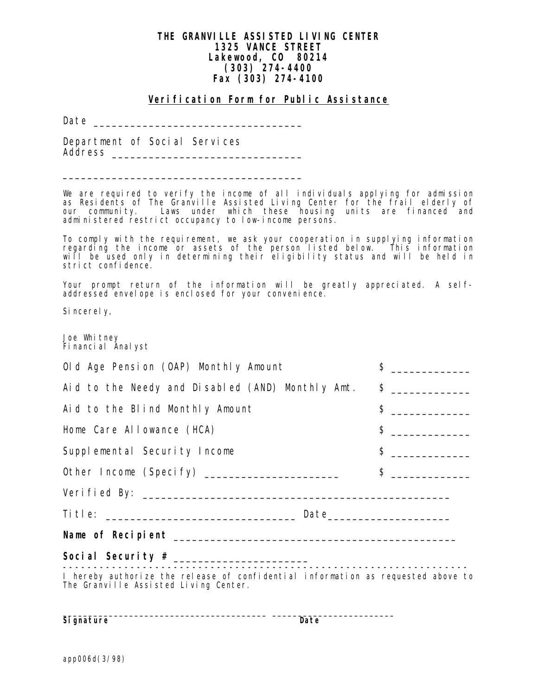## **THE GRANVILLE ASSISTED LIVING CENTER 1325 VANCE STREET Lakewood, CO 80214 (303) 274-4400 Fax (303) 274-4100**

#### **Verification Form for Public Assistance**

Date \_\_\_\_\_\_\_\_\_\_\_\_\_\_\_\_\_\_\_\_\_\_\_\_\_\_\_\_\_\_\_\_\_\_

Department of Social Services Address \_\_\_\_\_\_\_\_\_\_\_\_\_\_\_\_\_\_\_\_\_\_\_\_\_\_\_\_\_\_\_

\_\_\_\_\_\_\_\_\_\_\_\_\_\_\_\_\_\_\_\_\_\_\_\_\_\_\_\_\_\_\_\_\_\_\_\_\_\_\_

We are required to verify the income of all individuals applying for admission as Residents of The Granville Assisted Living Center for the frail elderly of our community. Laws under which these housing units are financed and administered restrict occupancy to low-income persons.

To comply with the requirement, we ask your cooperation in supplying information regarding the income or assets of the person listed below. This information will be used only in determining their eligibility status and will be held in strict confidence.

Your prompt return of the information will be greatly appreciated. A selfaddressed envelope is enclosed for your convenience.

Sincerely,

Joe Whitney Financial Analyst

| Old Age Pension (OAP) Monthly Amount                                                                                      | $\ddot{\mathsf{S}}$<br><u> 1980 - Jan Stein Stein Stein Stein Stein Stein Stein Stein Stein Stein Stein Stein Stein Stein Stein Stein S</u>                                                                                                                                                                                                                         |  |
|---------------------------------------------------------------------------------------------------------------------------|---------------------------------------------------------------------------------------------------------------------------------------------------------------------------------------------------------------------------------------------------------------------------------------------------------------------------------------------------------------------|--|
| Aid to the Needy and Disabled (AND) Monthly Amt. \$ _____________                                                         |                                                                                                                                                                                                                                                                                                                                                                     |  |
| Aid to the Blind Monthly Amount                                                                                           | $\uparrow$ $\qquad$                                                                                                                                                                                                                                                                                                                                                 |  |
| Home Care Allowance (HCA)                                                                                                 | $\frac{1}{2}$ $\frac{1}{2}$ $\frac{1}{2}$ $\frac{1}{2}$ $\frac{1}{2}$ $\frac{1}{2}$ $\frac{1}{2}$ $\frac{1}{2}$ $\frac{1}{2}$ $\frac{1}{2}$ $\frac{1}{2}$ $\frac{1}{2}$ $\frac{1}{2}$ $\frac{1}{2}$ $\frac{1}{2}$ $\frac{1}{2}$ $\frac{1}{2}$ $\frac{1}{2}$ $\frac{1}{2}$ $\frac{1}{2}$ $\frac{1}{2}$ $\frac{1}{2}$                                                 |  |
| Supplemental Security Income                                                                                              | $\begin{picture}(20,20) \put(0,0){\vector(1,0){100}} \put(15,0){\vector(1,0){100}} \put(15,0){\vector(1,0){100}} \put(15,0){\vector(1,0){100}} \put(15,0){\vector(1,0){100}} \put(15,0){\vector(1,0){100}} \put(15,0){\vector(1,0){100}} \put(15,0){\vector(1,0){100}} \put(15,0){\vector(1,0){100}} \put(15,0){\vector(1,0){100}} \put(15,0){\vector(1,0){100}} \$ |  |
| Other Income (Specify) ______________________                                                                             | $\frac{1}{2}$ $\frac{1}{2}$ $\frac{1}{2}$ $\frac{1}{2}$ $\frac{1}{2}$ $\frac{1}{2}$ $\frac{1}{2}$ $\frac{1}{2}$ $\frac{1}{2}$ $\frac{1}{2}$ $\frac{1}{2}$ $\frac{1}{2}$ $\frac{1}{2}$ $\frac{1}{2}$ $\frac{1}{2}$ $\frac{1}{2}$ $\frac{1}{2}$ $\frac{1}{2}$ $\frac{1}{2}$ $\frac{1}{2}$ $\frac{1}{2}$ $\frac{1}{2}$                                                 |  |
|                                                                                                                           |                                                                                                                                                                                                                                                                                                                                                                     |  |
| ${\small \texttt{Title:}} \begin{tabular}{c} \texttt{title:} \end{tabular}$                                               |                                                                                                                                                                                                                                                                                                                                                                     |  |
|                                                                                                                           |                                                                                                                                                                                                                                                                                                                                                                     |  |
|                                                                                                                           |                                                                                                                                                                                                                                                                                                                                                                     |  |
| I hereby authorize the release of confidential information as requested above to<br>The Granville Assisted Living Center. |                                                                                                                                                                                                                                                                                                                                                                     |  |

**Signature** Date **Date**